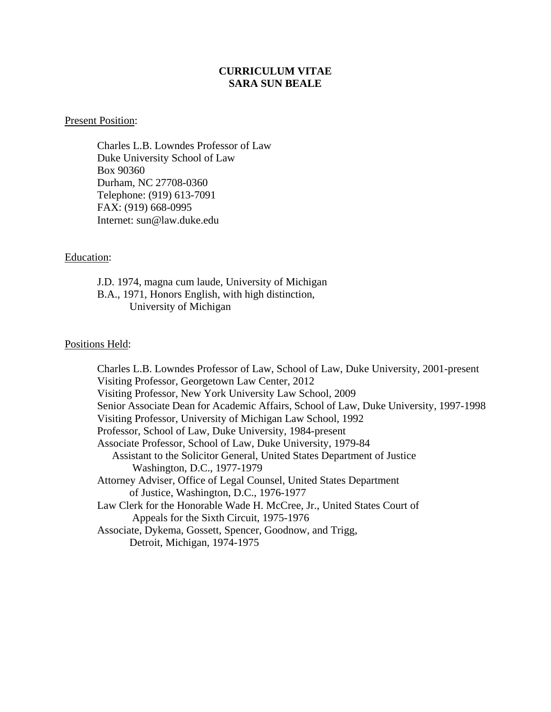# **CURRICULUM VITAE SARA SUN BEALE**

## Present Position:

Charles L.B. Lowndes Professor of Law Duke University School of Law Box 90360 Durham, NC 27708-0360 Telephone: (919) 613-7091 FAX: (919) 668-0995 Internet: sun@law.duke.edu

# Education:

J.D. 1974, magna cum laude, University of Michigan B.A., 1971, Honors English, with high distinction, University of Michigan

## Positions Held:

Charles L.B. Lowndes Professor of Law, School of Law, Duke University, 2001-present Visiting Professor, Georgetown Law Center, 2012 Visiting Professor, New York University Law School, 2009 Senior Associate Dean for Academic Affairs, School of Law, Duke University, 1997-1998 Visiting Professor, University of Michigan Law School, 1992 Professor, School of Law, Duke University, 1984-present Associate Professor, School of Law, Duke University, 1979-84 Assistant to the Solicitor General, United States Department of Justice Washington, D.C., 1977-1979 Attorney Adviser, Office of Legal Counsel, United States Department of Justice, Washington, D.C., 1976-1977 Law Clerk for the Honorable Wade H. McCree, Jr., United States Court of Appeals for the Sixth Circuit, 1975-1976 Associate, Dykema, Gossett, Spencer, Goodnow, and Trigg, Detroit, Michigan, 1974-1975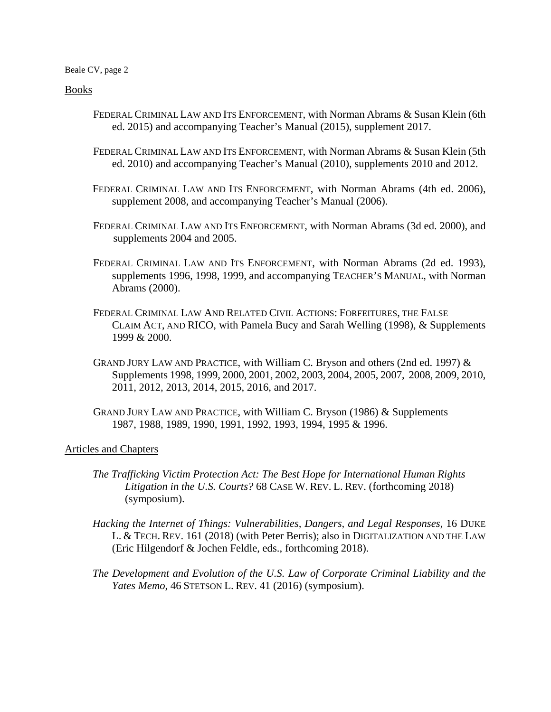# Books

- FEDERAL CRIMINAL LAW AND ITS ENFORCEMENT, with Norman Abrams & Susan Klein (6th ed. 2015) and accompanying Teacher's Manual (2015), supplement 2017.
- FEDERAL CRIMINAL LAW AND ITS ENFORCEMENT, with Norman Abrams & Susan Klein (5th ed. 2010) and accompanying Teacher's Manual (2010), supplements 2010 and 2012.
- FEDERAL CRIMINAL LAW AND ITS ENFORCEMENT, with Norman Abrams (4th ed. 2006), supplement 2008, and accompanying Teacher's Manual (2006).
- FEDERAL CRIMINAL LAW AND ITS ENFORCEMENT, with Norman Abrams (3d ed. 2000), and supplements 2004 and 2005.
- FEDERAL CRIMINAL LAW AND ITS ENFORCEMENT, with Norman Abrams (2d ed. 1993), supplements 1996, 1998, 1999, and accompanying TEACHER'S MANUAL, with Norman Abrams (2000).
- FEDERAL CRIMINAL LAW AND RELATED CIVIL ACTIONS: FORFEITURES, THE FALSE CLAIM ACT, AND RICO, with Pamela Bucy and Sarah Welling (1998), & Supplements 1999 & 2000.
- GRAND JURY LAW AND PRACTICE, with William C. Bryson and others (2nd ed. 1997)  $\&$ Supplements 1998, 1999, 2000, 2001, 2002, 2003, 2004, 2005, 2007, 2008, 2009, 2010, 2011, 2012, 2013, 2014, 2015, 2016, and 2017.
- GRAND JURY LAW AND PRACTICE, with William C. Bryson (1986) & Supplements 1987, 1988, 1989, 1990, 1991, 1992, 1993, 1994, 1995 & 1996.

# Articles and Chapters

- *The Trafficking Victim Protection Act: The Best Hope for International Human Rights Litigation in the U.S. Courts?* 68 CASE W. REV. L. REV. (forthcoming 2018) (symposium).
- *Hacking the Internet of Things: Vulnerabilities, Dangers, and Legal Responses*, 16 DUKE L. & TECH. REV. 161 (2018) (with Peter Berris); also in DIGITALIZATION AND THE LAW (Eric Hilgendorf & Jochen Feldle, eds., forthcoming 2018).
- *The Development and Evolution of the U.S. Law of Corporate Criminal Liability and the Yates Memo*, 46 STETSON L. REV. 41 (2016) (symposium).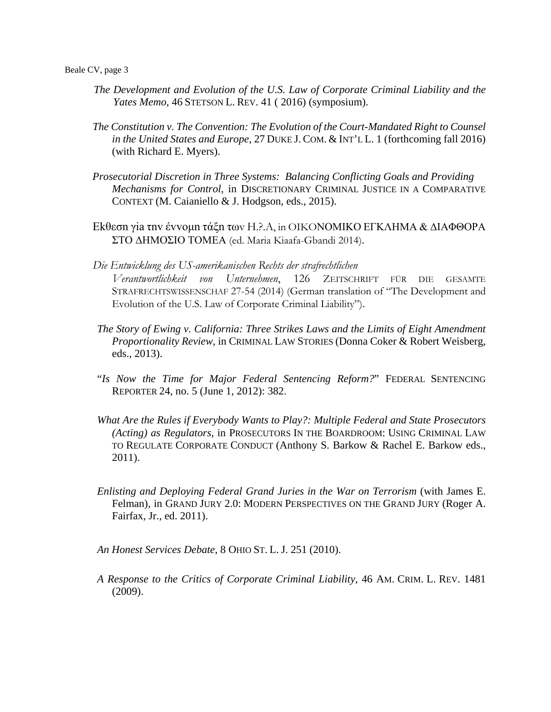- *The Development and Evolution of the U.S. Law of Corporate Criminal Liability and the Yates Memo*, 46 STETSON L. REV. 41 ( 2016) (symposium).
- *The Constitution v. The Convention: The Evolution of the Court-Mandated Right to Counsel in the United States and Europe*, 27 DUKE J. COM. & INT'L L. 1 (forthcoming fall 2016) (with Richard E. Myers).
- *Prosecutorial Discretion in Three Systems: Balancing Conflicting Goals and Providing Mechanisms for Control*, in DISCRETIONARY CRIMINAL JUSTICE IN A COMPARATIVE CONTEXT (M. Caianiello & J. Hodgson, eds., 2015).
- Εkθεσn γia τnv έvvoμn τάξn τωv H.?.A, in OIKONOMIKO EГKΛHMA & ΔIAΦΘOPA ΣTO ΔHMOΣIO TOMEA (ed. Maria Kiaafa-Gbandi 2014).
- *Die Entwicklung des US-amerikanischen Rechts der strafrechtlichen Verantwortlichkeit von Unternehmen*, 126 ZEITSCHRIFT FÜR DIE GESAMTE STRAFRECHTSWISSENSCHAF 27-54 (2014) (German translation of "The Development and Evolution of the U.S. Law of Corporate Criminal Liability").
- *The Story of Ewing v. California: Three Strikes Laws and the Limits of Eight Amendment Proportionality Review*, in CRIMINAL LAW STORIES (Donna Coker & Robert Weisberg, eds., 2013).
- "*Is Now the Time for Major Federal Sentencing Reform?*" FEDERAL SENTENCING REPORTER 24, no. 5 (June 1, 2012): 382.
- *What Are the Rules if Everybody Wants to Play?: Multiple Federal and State Prosecutors (Acting) as Regulators*, in PROSECUTORS IN THE BOARDROOM: USING CRIMINAL LAW TO REGULATE CORPORATE CONDUCT (Anthony S. Barkow & Rachel E. Barkow eds., 2011).
- *Enlisting and Deploying Federal Grand Juries in the War on Terrorism* (with James E. Felman), in GRAND JURY 2.0: MODERN PERSPECTIVES ON THE GRAND JURY (Roger A. Fairfax, Jr., ed. 2011).
- *An Honest Services Debate*, 8 OHIO ST. L. J. 251 (2010).
- *A Response to the Critics of Corporate Criminal Liability*, 46 AM. CRIM. L. REV. 1481 (2009).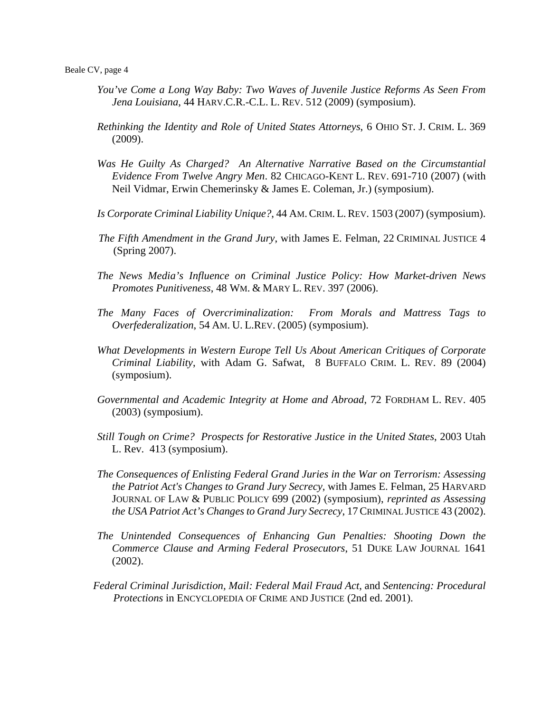- *You've Come a Long Way Baby: Two Waves of Juvenile Justice Reforms As Seen From Jena Louisiana*, 44 HARV.C.R.-C.L. L. REV. 512 (2009) (symposium).
- *Rethinking the Identity and Role of United States Attorneys*, 6 OHIO ST. J. CRIM. L. 369 (2009).
- *Was He Guilty As Charged? An Alternative Narrative Based on the Circumstantial Evidence From Twelve Angry Men*. 82 CHICAGO-KENT L. REV. 691-710 (2007) (with Neil Vidmar, Erwin Chemerinsky & James E. Coleman, Jr.) (symposium).
- *Is Corporate Criminal Liability Unique?*, 44 AM.CRIM. L.REV. 1503 (2007) (symposium).
- *The Fifth Amendment in the Grand Jury*, with James E. Felman, 22 CRIMINAL JUSTICE 4 (Spring 2007).
- *The News Media's Influence on Criminal Justice Policy: How Market-driven News Promotes Punitiveness*, 48 WM. & MARY L. REV. 397 (2006).
- *The Many Faces of Overcriminalization: From Morals and Mattress Tags to Overfederalization*, 54 AM. U. L.REV. (2005) (symposium).
- *What Developments in Western Europe Tell Us About American Critiques of Corporate Criminal Liability*, with Adam G. Safwat, 8 BUFFALO CRIM. L. REV. 89 (2004) (symposium).
- *Governmental and Academic Integrity at Home and Abroad*, 72 FORDHAM L. REV. 405 (2003) (symposium).
- *Still Tough on Crime? Prospects for Restorative Justice in the United States*, 2003 Utah L. Rev. 413 (symposium).
- *The Consequences of Enlisting Federal Grand Juries in the War on Terrorism: Assessing the Patriot Act's Changes to Grand Jury Secrecy*, with James E. Felman, 25 HARVARD JOURNAL OF LAW & PUBLIC POLICY 699 (2002) (symposium), *reprinted as Assessing the USA Patriot Act's Changes to Grand Jury Secrecy*, 17CRIMINAL JUSTICE 43 (2002).
- *The Unintended Consequences of Enhancing Gun Penalties: Shooting Down the Commerce Clause and Arming Federal Prosecutors*, 51 DUKE LAW JOURNAL 1641 (2002).
- *Federal Criminal Jurisdiction, Mail: Federal Mail Fraud Act*, and *Sentencing: Procedural Protections* in ENCYCLOPEDIA OF CRIME AND JUSTICE (2nd ed. 2001).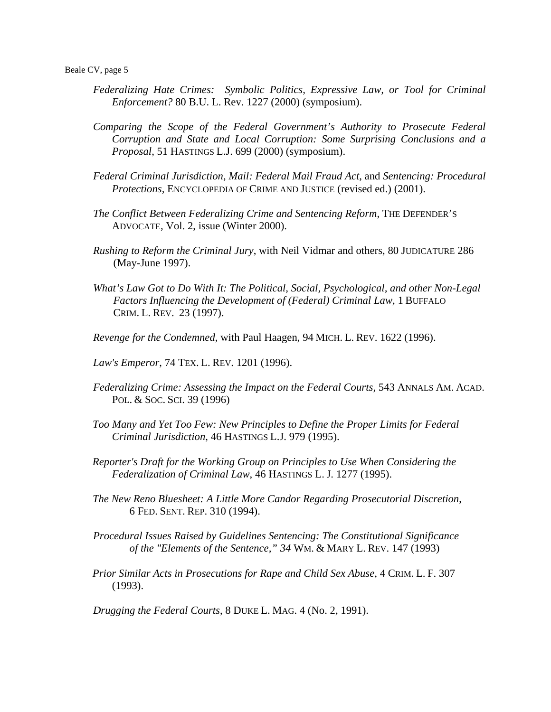- *Federalizing Hate Crimes: Symbolic Politics, Expressive Law, or Tool for Criminal Enforcement?* 80 B.U. L. Rev. 1227 (2000) (symposium).
- *Comparing the Scope of the Federal Government's Authority to Prosecute Federal Corruption and State and Local Corruption: Some Surprising Conclusions and a Proposal*, 51 HASTINGS L.J. 699 (2000) (symposium).
- *Federal Criminal Jurisdiction*, *Mail: Federal Mail Fraud Act*, and *Sentencing: Procedural Protections,* ENCYCLOPEDIA OF CRIME AND JUSTICE (revised ed.) (2001).
- *The Conflict Between Federalizing Crime and Sentencing Reform*, THE DEFENDER'S ADVOCATE, Vol. 2, issue (Winter 2000).
- *Rushing to Reform the Criminal Jury*, with Neil Vidmar and others, 80 JUDICATURE 286 (May-June 1997).
- *What's Law Got to Do With It: The Political, Social, Psychological, and other Non-Legal Factors Influencing the Development of (Federal) Criminal Law,* 1 BUFFALO CRIM. L. REV. 23 (1997).
- *Revenge for the Condemned*, with Paul Haagen, 94 MICH. L. REV. 1622 (1996).
- *Law's Emperor*, 74 TEX. L. REV. 1201 (1996).
- Federalizing Crime: Assessing the Impact on the Federal Courts, 543 ANNALS AM. ACAD. POL. & SOC. SCI. 39 (1996)
- *Too Many and Yet Too Few: New Principles to Define the Proper Limits for Federal Criminal Jurisdiction*, 46 HASTINGS L.J. 979 (1995).
- *Reporter's Draft for the Working Group on Principles to Use When Considering the Federalization of Criminal Law*, 46 HASTINGS L. J. 1277 (1995).
- *The New Reno Bluesheet: A Little More Candor Regarding Prosecutorial Discretion*, 6 FED. SENT. REP. 310 (1994).
- *Procedural Issues Raised by Guidelines Sentencing: The Constitutional Significance of the "Elements of the Sentence," 34* WM. & MARY L. REV. 147 (1993)
- *Prior Similar Acts in Prosecutions for Rape and Child Sex Abuse*, 4 CRIM. L. F. 307 (1993).

*Drugging the Federal Courts*, 8 DUKE L. MAG. 4 (No. 2, 1991).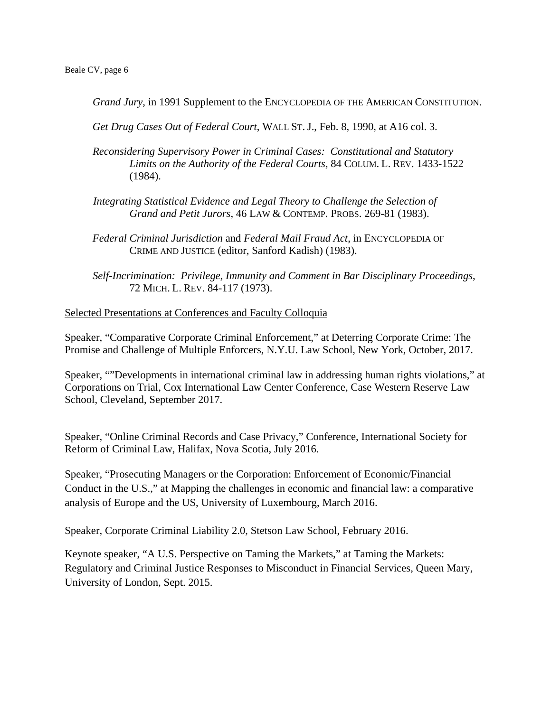*Grand Jury*, in 1991 Supplement to the ENCYCLOPEDIA OF THE AMERICAN CONSTITUTION.

*Get Drug Cases Out of Federal Court*, WALL ST. J., Feb. 8, 1990, at A16 col. 3.

- *Reconsidering Supervisory Power in Criminal Cases: Constitutional and Statutory Limits on the Authority of the Federal Courts,* 84 COLUM. L. REV. 1433-1522 (1984).
- *Integrating Statistical Evidence and Legal Theory to Challenge the Selection of Grand and Petit Jurors*, 46 LAW & CONTEMP. PROBS. 269-81 (1983).
- *Federal Criminal Jurisdiction* and *Federal Mail Fraud Act*, in ENCYCLOPEDIA OF CRIME AND JUSTICE (editor, Sanford Kadish) (1983).
- *Self-Incrimination: Privilege, Immunity and Comment in Bar Disciplinary Proceedings*, 72 MICH. L. REV. 84-117 (1973).

## Selected Presentations at Conferences and Faculty Colloquia

Speaker, "Comparative Corporate Criminal Enforcement," at Deterring Corporate Crime: The Promise and Challenge of Multiple Enforcers, N.Y.U. Law School, New York, October, 2017.

Speaker, ""Developments in international criminal law in addressing human rights violations," at Corporations on Trial, Cox International Law Center Conference, Case Western Reserve Law School, Cleveland, September 2017.

Speaker, "Online Criminal Records and Case Privacy," Conference, International Society for Reform of Criminal Law, Halifax, Nova Scotia, July 2016.

Speaker, "Prosecuting Managers or the Corporation: Enforcement of Economic/Financial Conduct in the U.S.," at Mapping the challenges in economic and financial law: a comparative analysis of Europe and the US, University of Luxembourg, March 2016.

Speaker, Corporate Criminal Liability 2.0, Stetson Law School, February 2016.

Keynote speaker, "A U.S. Perspective on Taming the Markets," at Taming the Markets: Regulatory and Criminal Justice Responses to Misconduct in Financial Services, Queen Mary, University of London, Sept. 2015.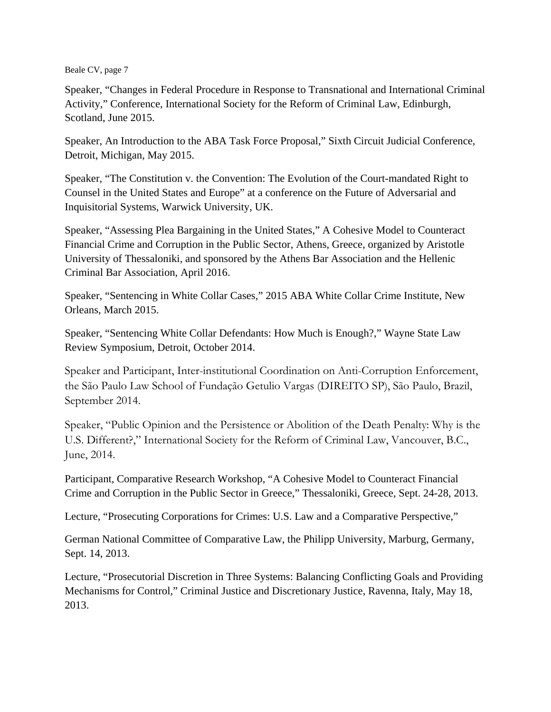Speaker, "Changes in Federal Procedure in Response to Transnational and International Criminal Activity," Conference, International Society for the Reform of Criminal Law, Edinburgh, Scotland, June 2015.

Speaker, An Introduction to the ABA Task Force Proposal," Sixth Circuit Judicial Conference, Detroit, Michigan, May 2015.

Speaker, "The Constitution v. the Convention: The Evolution of the Court-mandated Right to Counsel in the United States and Europe" at a conference on the Future of Adversarial and Inquisitorial Systems, Warwick University, UK.

Speaker, "Assessing Plea Bargaining in the United States," A Cohesive Model to Counteract Financial Crime and Corruption in the Public Sector, Athens, Greece, organized by Aristotle University of Thessaloniki, and sponsored by the Athens Bar Association and the Hellenic Criminal Bar Association, April 2016.

Speaker, "Sentencing in White Collar Cases," 2015 ABA White Collar Crime Institute, New Orleans, March 2015.

Speaker, "Sentencing White Collar Defendants: How Much is Enough?," Wayne State Law Review Symposium, Detroit, October 2014.

Speaker and Participant, Inter-institutional Coordination on Anti-Corruption Enforcement, the São Paulo Law School of Fundação Getulio Vargas (DIREITO SP), São Paulo, Brazil, September 2014.

Speaker, "Public Opinion and the Persistence or Abolition of the Death Penalty: Why is the U.S. Different?," International Society for the Reform of Criminal Law, Vancouver, B.C., June, 2014.

Participant, Comparative Research Workshop, "A Cohesive Model to Counteract Financial Crime and Corruption in the Public Sector in Greece," Thessaloniki, Greece, Sept. 24-28, 2013.

Lecture, "Prosecuting Corporations for Crimes: U.S. Law and a Comparative Perspective,"

German National Committee of Comparative Law, the Philipp University, Marburg, Germany, Sept. 14, 2013.

Lecture, "Prosecutorial Discretion in Three Systems: Balancing Conflicting Goals and Providing Mechanisms for Control," Criminal Justice and Discretionary Justice, Ravenna, Italy, May 18, 2013.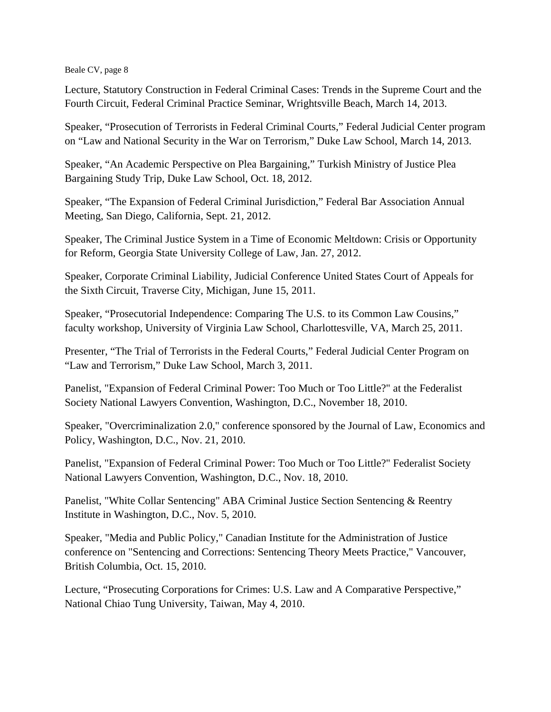Lecture, Statutory Construction in Federal Criminal Cases: Trends in the Supreme Court and the Fourth Circuit, Federal Criminal Practice Seminar, Wrightsville Beach, March 14, 2013.

Speaker, "Prosecution of Terrorists in Federal Criminal Courts," Federal Judicial Center program on "Law and National Security in the War on Terrorism," Duke Law School, March 14, 2013.

Speaker, "An Academic Perspective on Plea Bargaining," Turkish Ministry of Justice Plea Bargaining Study Trip, Duke Law School, Oct. 18, 2012.

Speaker, "The Expansion of Federal Criminal Jurisdiction," Federal Bar Association Annual Meeting, San Diego, California, Sept. 21, 2012.

Speaker, The Criminal Justice System in a Time of Economic Meltdown: Crisis or Opportunity for Reform, Georgia State University College of Law, Jan. 27, 2012.

Speaker, Corporate Criminal Liability, Judicial Conference United States Court of Appeals for the Sixth Circuit, Traverse City, Michigan, June 15, 2011.

Speaker, "Prosecutorial Independence: Comparing The U.S. to its Common Law Cousins," faculty workshop, University of Virginia Law School, Charlottesville, VA, March 25, 2011.

Presenter, "The Trial of Terrorists in the Federal Courts," Federal Judicial Center Program on "Law and Terrorism," Duke Law School, March 3, 2011.

Panelist, "Expansion of Federal Criminal Power: Too Much or Too Little?" at the Federalist Society National Lawyers Convention, Washington, D.C., November 18, 2010.

Speaker, "Overcriminalization 2.0," conference sponsored by the Journal of Law, Economics and Policy, Washington, D.C., Nov. 21, 2010.

Panelist, "Expansion of Federal Criminal Power: Too Much or Too Little?" Federalist Society National Lawyers Convention, Washington, D.C., Nov. 18, 2010.

Panelist, "White Collar Sentencing" ABA Criminal Justice Section Sentencing & Reentry Institute in Washington, D.C., Nov. 5, 2010.

Speaker, "Media and Public Policy," Canadian Institute for the Administration of Justice conference on "Sentencing and Corrections: Sentencing Theory Meets Practice," Vancouver, British Columbia, Oct. 15, 2010.

Lecture, "Prosecuting Corporations for Crimes: U.S. Law and A Comparative Perspective," National Chiao Tung University, Taiwan, May 4, 2010.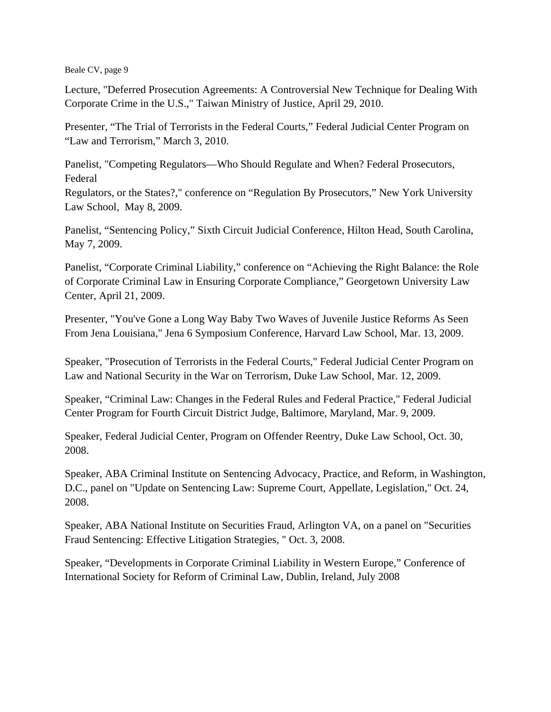Lecture, "Deferred Prosecution Agreements: A Controversial New Technique for Dealing With Corporate Crime in the U.S.," Taiwan Ministry of Justice, April 29, 2010.

Presenter, "The Trial of Terrorists in the Federal Courts," Federal Judicial Center Program on "Law and Terrorism," March 3, 2010.

Panelist, "Competing Regulators—Who Should Regulate and When? Federal Prosecutors, Federal

Regulators, or the States?," conference on "Regulation By Prosecutors," New York University Law School, May 8, 2009.

Panelist, "Sentencing Policy," Sixth Circuit Judicial Conference, Hilton Head, South Carolina, May 7, 2009.

Panelist, "Corporate Criminal Liability," conference on "Achieving the Right Balance: the Role of Corporate Criminal Law in Ensuring Corporate Compliance," Georgetown University Law Center, April 21, 2009.

Presenter, "You've Gone a Long Way Baby Two Waves of Juvenile Justice Reforms As Seen From Jena Louisiana," Jena 6 Symposium Conference, Harvard Law School, Mar. 13, 2009.

Speaker, "Prosecution of Terrorists in the Federal Courts," Federal Judicial Center Program on Law and National Security in the War on Terrorism, Duke Law School, Mar. 12, 2009.

Speaker, "Criminal Law: Changes in the Federal Rules and Federal Practice," Federal Judicial Center Program for Fourth Circuit District Judge, Baltimore, Maryland, Mar. 9, 2009.

Speaker, Federal Judicial Center, Program on Offender Reentry, Duke Law School, Oct. 30, 2008.

Speaker, ABA Criminal Institute on Sentencing Advocacy, Practice, and Reform, in Washington, D.C., panel on "Update on Sentencing Law: Supreme Court, Appellate, Legislation," Oct. 24, 2008.

Speaker, ABA National Institute on Securities Fraud, Arlington VA, on a panel on "Securities Fraud Sentencing: Effective Litigation Strategies, " Oct. 3, 2008.

Speaker, "Developments in Corporate Criminal Liability in Western Europe," Conference of International Society for Reform of Criminal Law, Dublin, Ireland, July 2008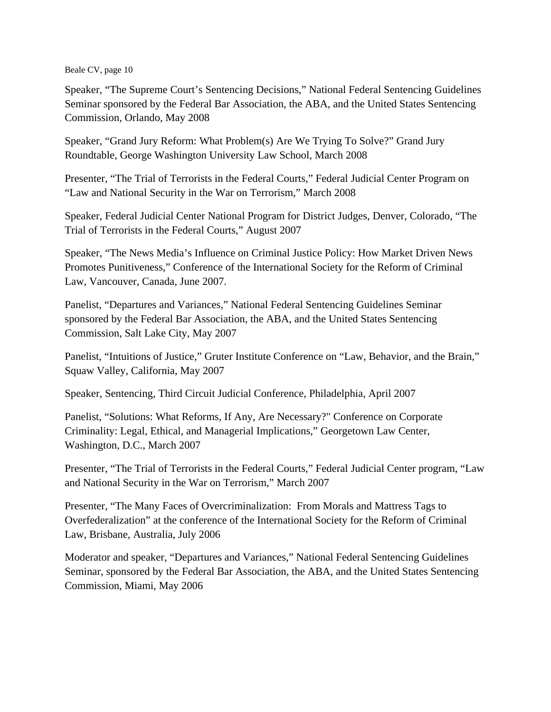Speaker, "The Supreme Court's Sentencing Decisions," National Federal Sentencing Guidelines Seminar sponsored by the Federal Bar Association, the ABA, and the United States Sentencing Commission, Orlando, May 2008

Speaker, "Grand Jury Reform: What Problem(s) Are We Trying To Solve?" Grand Jury Roundtable, George Washington University Law School, March 2008

Presenter, "The Trial of Terrorists in the Federal Courts," Federal Judicial Center Program on "Law and National Security in the War on Terrorism," March 2008

Speaker, Federal Judicial Center National Program for District Judges, Denver, Colorado, "The Trial of Terrorists in the Federal Courts," August 2007

Speaker, "The News Media's Influence on Criminal Justice Policy: How Market Driven News Promotes Punitiveness," Conference of the International Society for the Reform of Criminal Law, Vancouver, Canada, June 2007.

Panelist, "Departures and Variances," National Federal Sentencing Guidelines Seminar sponsored by the Federal Bar Association, the ABA, and the United States Sentencing Commission, Salt Lake City, May 2007

Panelist, "Intuitions of Justice," Gruter Institute Conference on "Law, Behavior, and the Brain," Squaw Valley, California, May 2007

Speaker, Sentencing, Third Circuit Judicial Conference, Philadelphia, April 2007

Panelist, "Solutions: What Reforms, If Any, Are Necessary?" Conference on Corporate Criminality: Legal, Ethical, and Managerial Implications," Georgetown Law Center, Washington, D.C., March 2007

Presenter, "The Trial of Terrorists in the Federal Courts," Federal Judicial Center program, "Law and National Security in the War on Terrorism," March 2007

Presenter, "The Many Faces of Overcriminalization: From Morals and Mattress Tags to Overfederalization" at the conference of the International Society for the Reform of Criminal Law, Brisbane, Australia, July 2006

Moderator and speaker, "Departures and Variances," National Federal Sentencing Guidelines Seminar, sponsored by the Federal Bar Association, the ABA, and the United States Sentencing Commission, Miami, May 2006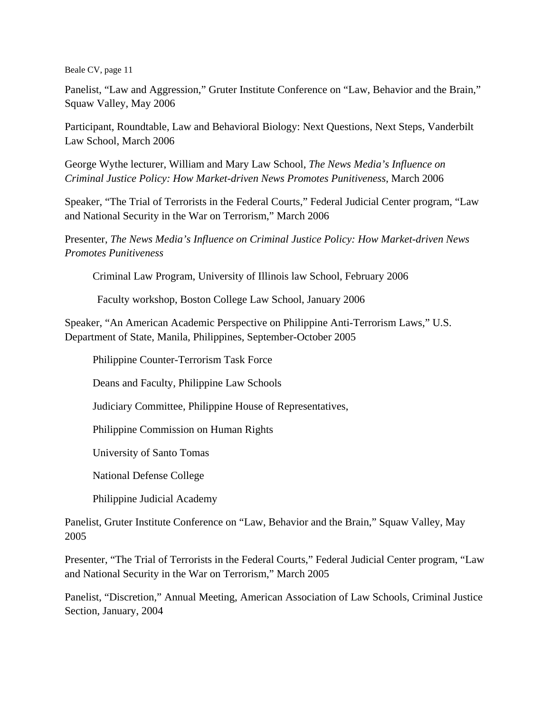Panelist, "Law and Aggression," Gruter Institute Conference on "Law, Behavior and the Brain," Squaw Valley, May 2006

Participant, Roundtable, Law and Behavioral Biology: Next Questions, Next Steps, Vanderbilt Law School, March 2006

George Wythe lecturer, William and Mary Law School, *The News Media's Influence on Criminal Justice Policy: How Market-driven News Promotes Punitiveness*, March 2006

Speaker, "The Trial of Terrorists in the Federal Courts," Federal Judicial Center program, "Law and National Security in the War on Terrorism," March 2006

Presenter, *The News Media's Influence on Criminal Justice Policy: How Market-driven News Promotes Punitiveness*

Criminal Law Program, University of Illinois law School, February 2006

Faculty workshop, Boston College Law School, January 2006

Speaker, "An American Academic Perspective on Philippine Anti-Terrorism Laws," U.S. Department of State, Manila, Philippines, September-October 2005

Philippine Counter-Terrorism Task Force

Deans and Faculty, Philippine Law Schools

Judiciary Committee, Philippine House of Representatives,

Philippine Commission on Human Rights

University of Santo Tomas

National Defense College

Philippine Judicial Academy

Panelist, Gruter Institute Conference on "Law, Behavior and the Brain," Squaw Valley, May 2005

Presenter, "The Trial of Terrorists in the Federal Courts," Federal Judicial Center program, "Law and National Security in the War on Terrorism," March 2005

Panelist, "Discretion," Annual Meeting, American Association of Law Schools, Criminal Justice Section, January, 2004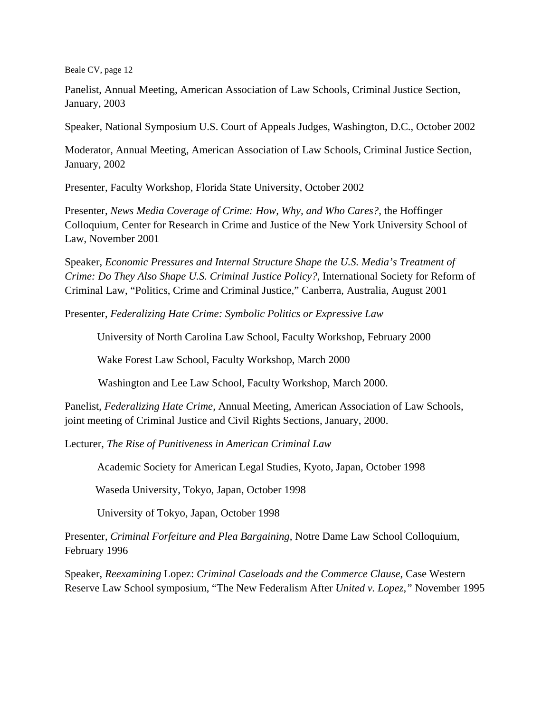Panelist, Annual Meeting, American Association of Law Schools, Criminal Justice Section, January, 2003

Speaker, National Symposium U.S. Court of Appeals Judges, Washington, D.C., October 2002

Moderator, Annual Meeting, American Association of Law Schools, Criminal Justice Section, January, 2002

Presenter, Faculty Workshop, Florida State University, October 2002

Presenter, *News Media Coverage of Crime: How, Why, and Who Cares?*, the Hoffinger Colloquium, Center for Research in Crime and Justice of the New York University School of Law, November 2001

Speaker, *Economic Pressures and Internal Structure Shape the U.S. Media's Treatment of Crime: Do They Also Shape U.S. Criminal Justice Policy?*, International Society for Reform of Criminal Law, "Politics, Crime and Criminal Justice," Canberra, Australia, August 2001

Presenter, *Federalizing Hate Crime: Symbolic Politics or Expressive Law*

University of North Carolina Law School, Faculty Workshop, February 2000

Wake Forest Law School, Faculty Workshop, March 2000

Washington and Lee Law School, Faculty Workshop, March 2000.

Panelist, *Federalizing Hate Crime*, Annual Meeting, American Association of Law Schools, joint meeting of Criminal Justice and Civil Rights Sections, January, 2000.

Lecturer, *The Rise of Punitiveness in American Criminal Law*

Academic Society for American Legal Studies, Kyoto, Japan, October 1998

Waseda University, Tokyo, Japan, October 1998

University of Tokyo, Japan, October 1998

Presenter, *Criminal Forfeiture and Plea Bargaining*, Notre Dame Law School Colloquium, February 1996

Speaker, *Reexamining* Lopez: *Criminal Caseloads and the Commerce Clause*, Case Western Reserve Law School symposium, "The New Federalism After *United v. Lopez,"* November 1995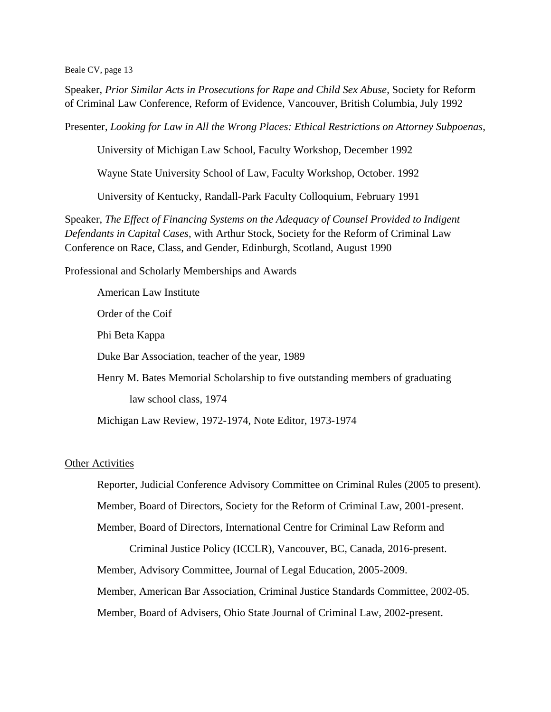Speaker, *Prior Similar Acts in Prosecutions for Rape and Child Sex Abuse*, Society for Reform of Criminal Law Conference, Reform of Evidence, Vancouver, British Columbia, July 1992

Presenter, *Looking for Law in All the Wrong Places: Ethical Restrictions on Attorney Subpoenas*,

University of Michigan Law School, Faculty Workshop, December 1992

Wayne State University School of Law, Faculty Workshop, October. 1992

University of Kentucky, Randall-Park Faculty Colloquium, February 1991

Speaker, *The Effect of Financing Systems on the Adequacy of Counsel Provided to Indigent Defendants in Capital Cases*, with Arthur Stock, Society for the Reform of Criminal Law Conference on Race, Class, and Gender, Edinburgh, Scotland, August 1990

#### Professional and Scholarly Memberships and Awards

American Law Institute Order of the Coif Phi Beta Kappa Duke Bar Association, teacher of the year, 1989 Henry M. Bates Memorial Scholarship to five outstanding members of graduating law school class, 1974 Michigan Law Review, 1972-1974, Note Editor, 1973-1974

#### Other Activities

Reporter, Judicial Conference Advisory Committee on Criminal Rules (2005 to present).

Member, Board of Directors, Society for the Reform of Criminal Law, 2001-present.

Member, Board of Directors, International Centre for Criminal Law Reform and

Criminal Justice Policy (ICCLR), Vancouver, BC, Canada, 2016-present. Member, Advisory Committee, Journal of Legal Education, 2005-2009. Member, American Bar Association, Criminal Justice Standards Committee, 2002-05. Member, Board of Advisers, Ohio State Journal of Criminal Law, 2002-present.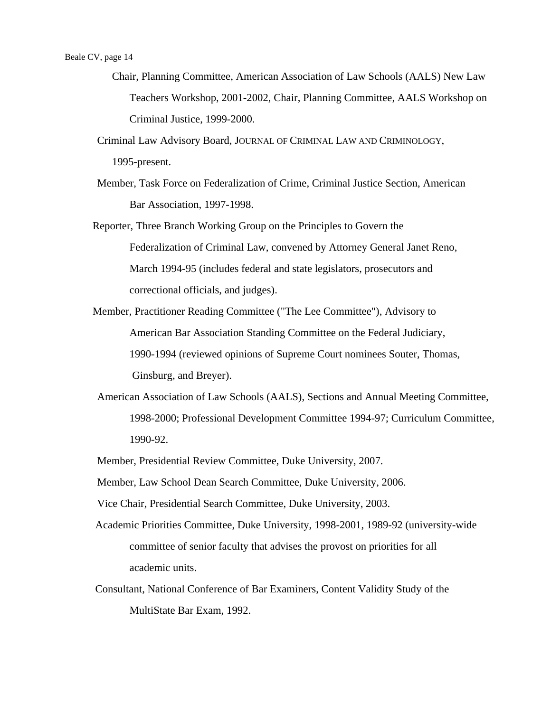- Chair, Planning Committee, American Association of Law Schools (AALS) New Law Teachers Workshop, 2001-2002, Chair, Planning Committee, AALS Workshop on Criminal Justice, 1999-2000.
- Criminal Law Advisory Board, JOURNAL OF CRIMINAL LAW AND CRIMINOLOGY, 1995-present.
- Member, Task Force on Federalization of Crime, Criminal Justice Section, American Bar Association, 1997-1998.
- Reporter, Three Branch Working Group on the Principles to Govern the Federalization of Criminal Law, convened by Attorney General Janet Reno, March 1994-95 (includes federal and state legislators, prosecutors and correctional officials, and judges).
- Member, Practitioner Reading Committee ("The Lee Committee"), Advisory to American Bar Association Standing Committee on the Federal Judiciary, 1990-1994 (reviewed opinions of Supreme Court nominees Souter, Thomas, Ginsburg, and Breyer).
- American Association of Law Schools (AALS), Sections and Annual Meeting Committee, 1998-2000; Professional Development Committee 1994-97; Curriculum Committee, 1990-92.
- Member, Presidential Review Committee, Duke University, 2007.
- Member, Law School Dean Search Committee, Duke University, 2006.
- Vice Chair, Presidential Search Committee, Duke University, 2003.
- Academic Priorities Committee, Duke University, 1998-2001, 1989-92 (university-wide committee of senior faculty that advises the provost on priorities for all academic units.
- Consultant, National Conference of Bar Examiners, Content Validity Study of the MultiState Bar Exam, 1992.